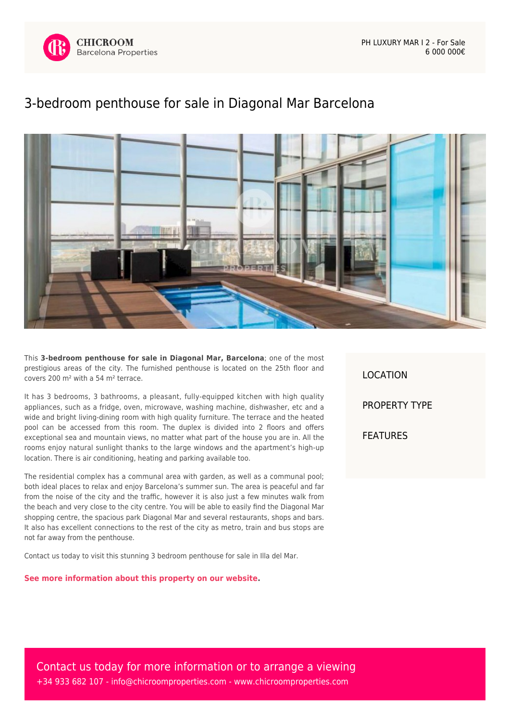

PH LUXURY MAR I 2 - For Sale 6 000 000€

## [3-bedroom penthouse for sale in Diagonal Mar Barcelona](https://www.chicroomproperties.com/en/property/894/3-bedroom-penthouse-for-sale-in-diagonal-mar-barcelona/)



This **3-bedroom penthouse for sale in Diagonal Mar, Barcelona**; one of the most prestigious areas of the city. The furnished penthouse is located on the 25th floor and covers 200 m² with a 54 m² terrace.

It has 3 bedrooms, 3 bathrooms, a pleasant, fully-equipped kitchen with high quality appliances, such as a fridge, oven, microwave, washing machine, dishwasher, etc and a wide and bright living-dining room with high quality furniture. The terrace and the heated pool can be accessed from this room. The duplex is divided into 2 floors and offers exceptional sea and mountain views, no matter what part of the house you are in. All the rooms enjoy natural sunlight thanks to the large windows and the apartment's high-up location. There is air conditioning, heating and parking available too.

The residential complex has a communal area with garden, as well as a communal pool; both ideal places to relax and enjoy Barcelona's summer sun. The area is peaceful and far from the noise of the city and the traffic, however it is also just a few minutes walk from the beach and very close to the city centre. You will be able to easily find the Diagonal Mar shopping centre, the spacious park Diagonal Mar and several restaurants, shops and bars. It also has excellent connections to the rest of the city as metro, train and bus stops are not far away from the penthouse.

Contact us today to visit this stunning 3 bedroom penthouse for sale in Illa del Mar.

**[See more information about this property on our website.](https://www.chicroomproperties.com/en/property/894/3-bedroom-penthouse-for-sale-in-diagonal-mar-barcelona/)**

LOCATION PROPERTY TYPE FEATURES

Contact us today for more information or to arrange a viewing +34 933 682 107 - [info@chicroomproperties.com](mailto:info@chicroomproperties.com) - [www.chicroomproperties.com](http://www.chicroomproperties.com)